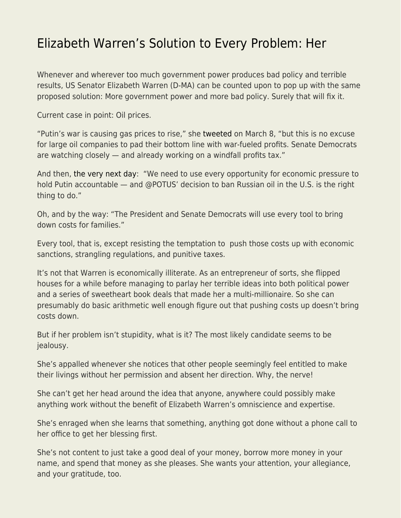## [Elizabeth Warren's Solution to Every Problem: Her](https://everything-voluntary.com/elizabeth-warrens-solution-to-every-problem-her)

Whenever and wherever too much government power produces bad policy and terrible results, US Senator Elizabeth Warren (D-MA) can be counted upon to pop up with the same proposed solution: More government power and more bad policy. Surely that will fix it.

Current case in point: Oil prices.

"Putin's war is causing gas prices to rise," she [tweeted](https://twitter.com/SenWarren/status/1501305068850749440) on March 8, "but this is no excuse for large oil companies to pad their bottom line with war-fueled profits. Senate Democrats are watching closely — and already working on a windfall profits tax."

And then, [the very next day](https://twitter.com/SenWarren/status/1501719484146487296): "We need to use every opportunity for economic pressure to hold Putin accountable — and @POTUS' decision to ban Russian oil in the U.S. is the right thing to do."

Oh, and by the way: "The President and Senate Democrats will use every tool to bring down costs for families."

Every tool, that is, except resisting the temptation to push those costs up with economic sanctions, strangling regulations, and punitive taxes.

It's not that Warren is economically illiterate. As an entrepreneur of sorts, she flipped houses for a while before managing to parlay her terrible ideas into both political power and a series of sweetheart book deals that made her a multi-millionaire. So she can presumably do basic arithmetic well enough figure out that pushing costs up doesn't bring costs down.

But if her problem isn't stupidity, what is it? The most likely candidate seems to be jealousy.

She's appalled whenever she notices that other people seemingly feel entitled to make their livings without her permission and absent her direction. Why, the nerve!

She can't get her head around the idea that anyone, anywhere could possibly make anything work without the benefit of Elizabeth Warren's omniscience and expertise.

She's enraged when she learns that something, anything got done without a phone call to her office to get her blessing first.

She's not content to just take a good deal of your money, borrow more money in your name, and spend that money as she pleases. She wants your attention, your allegiance, and your gratitude, too.